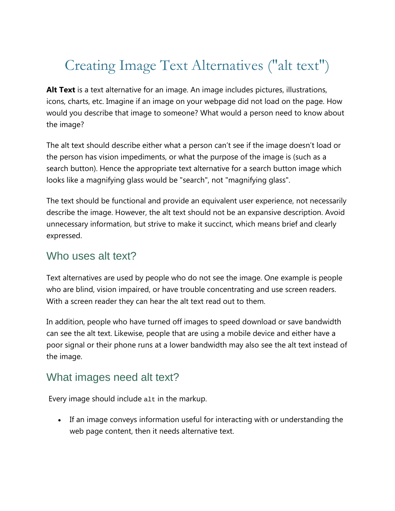# Creating Image Text Alternatives ("alt text")

**Alt Text** is a text alternative for an image. An image includes pictures, illustrations, icons, charts, etc. Imagine if an image on your webpage did not load on the page. How would you describe that image to someone? What would a person need to know about the image?

The alt text should describe either what a person can't see if the image doesn't load or the person has vision impediments, or what the purpose of the image is (such as a search button). Hence the appropriate text alternative for a search button image which looks like a magnifying glass would be "search", not "magnifying glass".

The text should be functional and provide an equivalent user experience, not necessarily describe the image. However, the alt text should not be an expansive description. Avoid unnecessary information, but strive to make it succinct, which means brief and clearly expressed.

### Who uses alt text?

Text alternatives are used by people who do not see the image. One example is people who are blind, vision impaired, or have trouble concentrating and use screen readers. With a screen reader they can hear the alt text read out to them.

In addition, people who have turned off images to speed download or save bandwidth can see the alt text. Likewise, people that are using a mobile device and either have a poor signal or their phone runs at a lower bandwidth may also see the alt text instead of the image.

## What images need alt text?

Every image should include  $a$ 1t in the markup.

• If an image conveys information useful for interacting with or understanding the web page content, then it needs alternative text.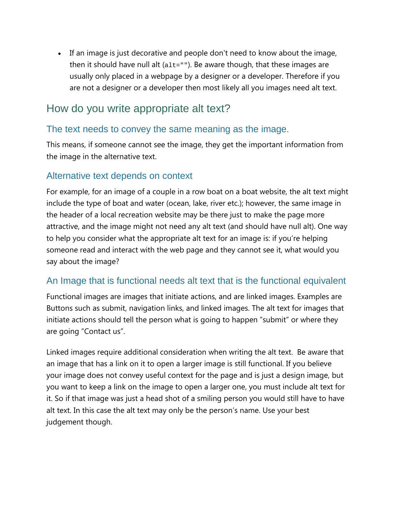• If an image is just decorative and people don't need to know about the image, then it should have null alt  $(a_1t=1)$ . Be aware though, that these images are usually only placed in a webpage by a designer or a developer. Therefore if you are not a designer or a developer then most likely all you images need alt text.

## How do you write appropriate alt text?

#### The text needs to convey the same meaning as the image.

This means, if someone cannot see the image, they get the important information from the image in the alternative text.

#### Alternative text depends on context

For example, for an image of a couple in a row boat on a boat website, the alt text might include the type of boat and water (ocean, lake, river etc.); however, the same image in the header of a local recreation website may be there just to make the page more attractive, and the image might not need any alt text (and should have null alt). One way to help you consider what the appropriate alt text for an image is: if you're helping someone read and interact with the web page and they cannot see it, what would you say about the image?

#### An Image that is functional needs alt text that is the functional equivalent

Functional images are images that initiate actions, and are linked images. Examples are Buttons such as submit, navigation links, and linked images. The alt text for images that initiate actions should tell the person what is going to happen "submit" or where they are going "Contact us".

Linked images require additional consideration when writing the alt text. Be aware that an image that has a link on it to open a larger image is still functional. If you believe your image does not convey useful context for the page and is just a design image, but you want to keep a link on the image to open a larger one, you must include alt text for it. So if that image was just a head shot of a smiling person you would still have to have alt text. In this case the alt text may only be the person's name. Use your best judgement though.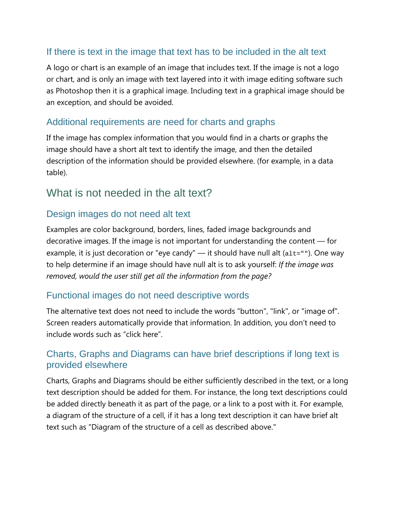#### If there is text in the image that text has to be included in the alt text

A logo or chart is an example of an image that includes text. If the image is not a logo or chart, and is only an image with text layered into it with image editing software such as Photoshop then it is a graphical image. Including text in a graphical image should be an exception, and should be avoided.

#### Additional requirements are need for charts and graphs

If the image has complex information that you would find in a charts or graphs the image should have a short alt text to identify the image, and then the detailed description of the information should be provided elsewhere. (for example, in a data table).

## What is not needed in the alt text?

#### Design images do not need alt text

Examples are color background, borders, lines, faded image backgrounds and decorative images. If the image is not important for understanding the content — for example, it is just decoration or "eye candy" — it should have null alt  $(a_1b_2 - b_2)$ . One way to help determine if an image should have null alt is to ask yourself: *If the image was removed, would the user still get all the information from the page?*

#### Functional images do not need descriptive words

The alternative text does not need to include the words "button", "link", or "image of". Screen readers automatically provide that information. In addition, you don't need to include words such as "click here".

#### Charts, Graphs and Diagrams can have brief descriptions if long text is provided elsewhere

Charts, Graphs and Diagrams should be either sufficiently described in the text, or a long text description should be added for them. For instance, the long text descriptions could be added directly beneath it as part of the page, or a link to a post with it. For example, a diagram of the structure of a cell, if it has a long text description it can have brief alt text such as "Diagram of the structure of a cell as described above."